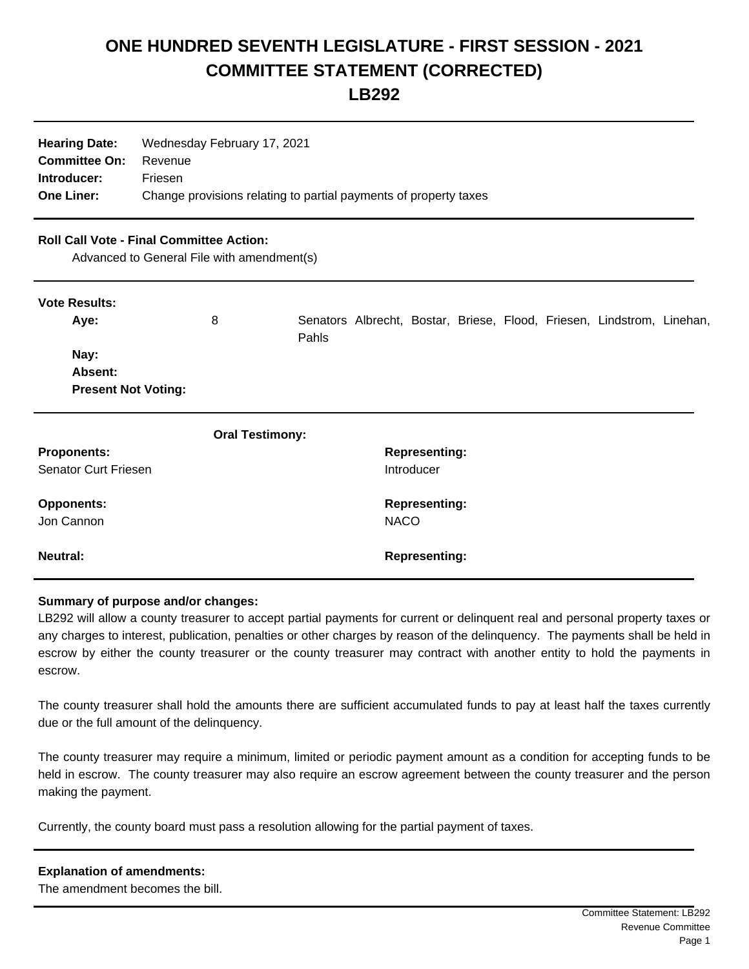## **ONE HUNDRED SEVENTH LEGISLATURE - FIRST SESSION - 2021 COMMITTEE STATEMENT (CORRECTED)**

**LB292**

| <b>Hearing Date:</b><br><b>Committee On:</b><br>Introducer:<br><b>One Liner:</b>              | Wednesday February 17, 2021<br>Revenue<br>Friesen<br>Change provisions relating to partial payments of property taxes |       |                                    |                                     |  |  |  |                                                                        |  |
|-----------------------------------------------------------------------------------------------|-----------------------------------------------------------------------------------------------------------------------|-------|------------------------------------|-------------------------------------|--|--|--|------------------------------------------------------------------------|--|
| <b>Roll Call Vote - Final Committee Action:</b><br>Advanced to General File with amendment(s) |                                                                                                                       |       |                                    |                                     |  |  |  |                                                                        |  |
| <b>Vote Results:</b><br>Aye:                                                                  | 8                                                                                                                     | Pahls |                                    |                                     |  |  |  | Senators Albrecht, Bostar, Briese, Flood, Friesen, Lindstrom, Linehan, |  |
| Nay:<br>Absent:<br><b>Present Not Voting:</b>                                                 |                                                                                                                       |       |                                    |                                     |  |  |  |                                                                        |  |
|                                                                                               | <b>Oral Testimony:</b>                                                                                                |       |                                    |                                     |  |  |  |                                                                        |  |
| <b>Proponents:</b><br><b>Senator Curt Friesen</b>                                             |                                                                                                                       |       | <b>Representing:</b><br>Introducer |                                     |  |  |  |                                                                        |  |
| <b>Opponents:</b><br>Jon Cannon                                                               |                                                                                                                       |       |                                    | <b>Representing:</b><br><b>NACO</b> |  |  |  |                                                                        |  |
| <b>Neutral:</b>                                                                               |                                                                                                                       |       |                                    | <b>Representing:</b>                |  |  |  |                                                                        |  |

## **Summary of purpose and/or changes:**

LB292 will allow a county treasurer to accept partial payments for current or delinquent real and personal property taxes or any charges to interest, publication, penalties or other charges by reason of the delinquency. The payments shall be held in escrow by either the county treasurer or the county treasurer may contract with another entity to hold the payments in escrow.

The county treasurer shall hold the amounts there are sufficient accumulated funds to pay at least half the taxes currently due or the full amount of the delinquency.

The county treasurer may require a minimum, limited or periodic payment amount as a condition for accepting funds to be held in escrow. The county treasurer may also require an escrow agreement between the county treasurer and the person making the payment.

Currently, the county board must pass a resolution allowing for the partial payment of taxes.

| <b>Explanation of amendments:</b> |
|-----------------------------------|
| The amendment becomes the bill.   |